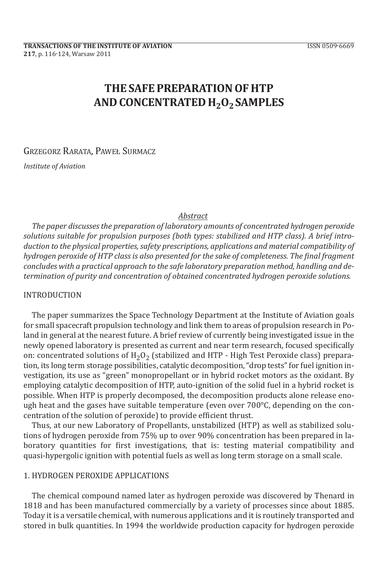# **THE SAFE PREPARATION OF HTP ANd CONCENTRATEd H2O2 SAmPlES**

GRZEGORZ RARATA, PAWEŁ SURMACZ

*Institute of Aviation* 

### *Abstract*

*The paper discusses the preparation of laboratory amounts of concentrated hydrogen peroxide solutions suitable for propulsion purposes (both types: stabilized and HTP class). A brief introduction to the physical properties, safety prescriptions, applications and material compatibility of hydrogen peroxide of HTP class is also presented for the sake of completeness. The final fragment concludes with a practical approach to the safe laboratory preparation method, handling and determination of purity and concentration of obtained concentrated hydrogen peroxide solutions.*

#### **INTRODUCTION**

The paper summarizes the Space Technology Department at the Institute of Aviation goals for small spacecraft propulsion technology and link them to areas of propulsion research in Poland in general at the nearest future. A brief review of currently being investigated issue in the newly opened laboratory is presented as current and near term research, focused specifically on: concentrated solutions of  $H_2O_2$  (stabilized and HTP - High Test Peroxide class) preparation, its long term storage possibilities, catalytic decomposition, "drop tests" for fuel ignition investigation, its use as "green" monopropellant or in hybrid rocket motors as the oxidant. By employing catalytic decomposition of HtP, auto-ignition of the solid fuel in a hybrid rocket is possible. When HtP is properly decomposed, the decomposition products alone release enough heat and the gases have suitable temperature (even over 700°c, depending on the concentration of the solution of peroxide) to provide efficient thrust.

Thus, at our new Laboratory of Propellants, unstabilized (HTP) as well as stabilized solutions of hydrogen peroxide from 75% up to over 90% concentration has been prepared in laboratory quantities for first investigations, that is: testing material compatibility and quasi-hypergolic ignition with potential fuels as well as long term storage on a small scale.

#### 1. HydroGeN PeroxIde aPPLIcatIoNS

the chemical compound named later as hydrogen peroxide was discovered by thenard in 1818 and has been manufactured commercially by a variety of processes since about 1885. Today it is a versatile chemical, with numerous applications and it is routinely transported and stored in bulk quantities. In 1994 the worldwide production capacity for hydrogen peroxide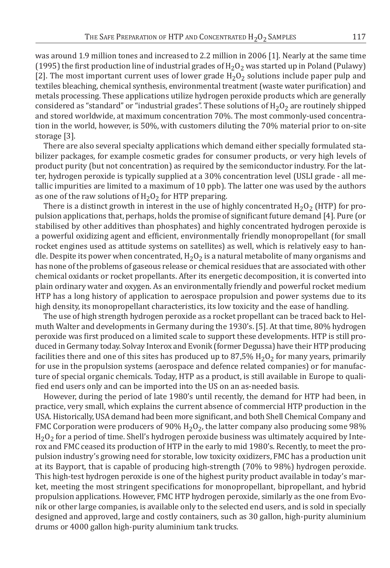was around 1.9 million tones and increased to 2.2 million in 2006 [1]. Nearly at the same time (1995) the first production line of industrial grades of  $H_2O_2$  was started up in Poland (Pulawy) [2]. The most important current uses of lower grade  $H_2O_2$  solutions include paper pulp and textiles bleaching, chemical synthesis, environmental treatment (waste water purification) and metals processing. These applications utilize hydrogen peroxide products which are generally considered as "standard" or "industrial grades". These solutions of  $H_2O_2$  are routinely shipped and stored worldwide, at maximum concentration 70%. The most commonly-used concentration in the world, however, is 50%, with customers diluting the 70% material prior to on-site storage [3].

There are also several specialty applications which demand either specially formulated stabilizer packages, for example cosmetic grades for consumer products, or very high levels of product purity (but not concentration) as required by the semiconductor industry. for the latter, hydrogen peroxide is typically supplied at a 30% concentration level (uSLI grade - all metallic impurities are limited to a maximum of 10 ppb). The latter one was used by the authors as one of the raw solutions of  $H_2O_2$  for HTP preparing.

There is a distinct growth in interest in the use of highly concentrated  $H_2O_2$  (HTP) for propulsion applications that, perhaps, holds the promise of significant future demand [4]. Pure (or stabilised by other additives than phosphates) and highly concentrated hydrogen peroxide is a powerful oxidizing agent and efficient, environmentally friendly monopropellant (for small rocket engines used as attitude systems on satellites) as well, which is relatively easy to handle. Despite its power when concentrated,  $H_2O_2$  is a natural metabolite of many organisms and has none of the problems of gaseous release or chemical residues that are associated with other chemical oxidants or rocket propellants. after its energetic decomposition, it is converted into plain ordinary water and oxygen. as an environmentally friendly and powerful rocket medium HtP has a long history of application to aerospace propulsion and power systems due to its high density, its monopropellant characteristics, its low toxicity and the ease of handling.

The use of high strength hydrogen peroxide as a rocket propellant can be traced back to Helmuth Walter and developments in Germany during the 1930's. [5]. at that time, 80% hydrogen peroxide was first produced on a limited scale to support these developments. HtP is still produced in Germany today. Solvay Interox and Evonik (former Degussa) have their HTP producing facilities there and one of this sites has produced up to 87,5%  $H_2O_2$  for many years, primarily for use in the propulsion systems (aerospace and defence related companies) or for manufacture of special organic chemicals. Today, HTP as a product, is still available in Europe to qualified end users only and can be imported into the US on an as-needed basis.

However, during the period of late 1980's until recently, the demand for HTP had been, in practice, very small, which explains the current absence of commercial HtP production in the uSa. Historically, uSa demand had been more significant, and both Shell chemical company and FMC Corporation were producers of 90%  $H_2O_2$ , the latter company also producing some 98%  $H_2O_2$  for a period of time. Shell's hydrogen peroxide business was ultimately acquired by Interox and FMC ceased its production of HTP in the early to mid 1980's. Recently, to meet the propulsion industry's growing need for storable, low toxicity oxidizers, fmc has a production unit at its Bayport, that is capable of producing high-strength (70% to 98%) hydrogen peroxide. This high-test hydrogen peroxide is one of the highest purity product available in today's market, meeting the most stringent specifications for monopropellant, bipropellant, and hybrid propulsion applications. However, FMC HTP hydrogen peroxide, similarly as the one from Evonik or other large companies, is available only to the selected end users, and is sold in specially designed and approved, large and costly containers, such as 30 gallon, high-purity aluminium drums or 4000 gallon high-purity aluminium tank trucks.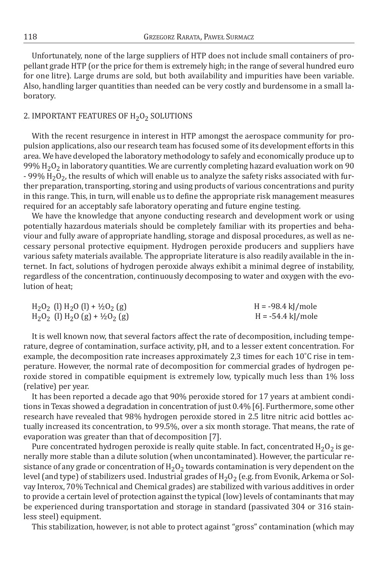unfortunately, none of the large suppliers of HtP does not include small containers of propellant grade HtP (or the price for them is extremely high; in the range of several hundred euro for one litre). Large drums are sold, but both availability and impurities have been variable. also, handling larger quantities than needed can be very costly and burdensome in a small laboratory.

## 2. IMPORTANT FEATURES OF H<sub>2</sub>O<sub>2</sub> SOLUTIONS

With the recent resurgence in interest in HTP amongst the aerospace community for propulsion applications, also our research team has focused some of its development efforts in this area. We have developed the laboratory methodology to safely and economically produce up to 99%  $H_2O_2$  in laboratory quantities. We are currently completing hazard evaluation work on 90 - 99%  $H_2O_2$ , the results of which will enable us to analyze the safety risks associated with further preparation, transporting, storing and using products of various concentrations and purity in this range. This, in turn, will enable us to define the appropriate risk management measures required for an acceptably safe laboratory operating and future engine testing.

We have the knowledge that anyone conducting research and development work or using potentially hazardous materials should be completely familiar with its properties and behaviour and fully aware of appropriate handling, storage and disposal procedures, as well as necessary personal protective equipment. Hydrogen peroxide producers and suppliers have various safety materials available. The appropriate literature is also readily available in the internet. In fact, solutions of hydrogen peroxide always exhibit a minimal degree of instability, regardless of the concentration, continuously decomposing to water and oxygen with the evolution of heat;

| $H_2O_2$ (l) $H_2O$ (l) + ½ $O_2$ (g) | $H = -98.4 \text{ kJ/mole}$ |
|---------------------------------------|-----------------------------|
| $H_2O_2$ (l) $H_2O$ (g) + ½ $O_2$ (g) | H = -54.4 kJ/mole           |

It is well known now, that several factors affect the rate of decomposition, including temperature, degree of contamination, surface activity, pH, and to a lesser extent concentration. for example, the decomposition rate increases approximately 2,3 times for each 10˚c rise in temperature. However, the normal rate of decomposition for commercial grades of hydrogen peroxide stored in compatible equipment is extremely low, typically much less than 1% loss (relative) per year.

It has been reported a decade ago that 90% peroxide stored for 17 years at ambient conditions in Texas showed a degradation in concentration of just 0.4% [6]. Furthermore, some other research have revealed that 98% hydrogen peroxide stored in 2.5 litre nitric acid bottles actually increased its concentration, to 99.5%, over a six month storage. That means, the rate of evaporation was greater than that of decomposition [7].

Pure concentrated hydrogen peroxide is really quite stable. In fact, concentrated  $H_2O_2$  is generally more stable than a dilute solution (when uncontaminated). However, the particular resistance of any grade or concentration of  $H_2O_2$  towards contamination is very dependent on the level (and type) of stabilizers used. Industrial grades of  $H_2O_2$  (e.g. from Evonik, Arkema or Solvay Interox, 70% Technical and Chemical grades) are stabilized with various additives in order to provide a certain level of protection against the typical (low) levels of contaminants that may be experienced during transportation and storage in standard (passivated 304 or 316 stainless steel) equipment.

this stabilization, however, is not able to protect against "gross" contamination (which may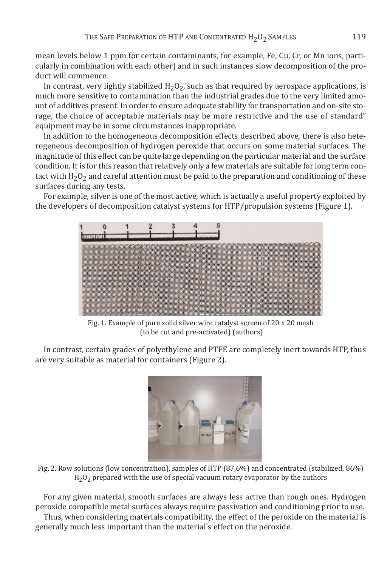mean levels below 1 ppm for certain contaminants, for example, Fe, Cu, Cr, or Mn ions, particularly in combination with each other) and in such instances slow decomposition of the product will commence.

In contrast, very lightly stabilized  $H_2O_2$ , such as that required by aerospace applications, is much more sensitive to contamination than the industrial grades due to the very limited amount of additives present. In order to ensure adequate stability for transportation and on-site storage, the choice of acceptable materials may be more restrictive and the use of standard" equipment may be in some circumstances inappropriate.

In addition to the homogeneous decomposition effects described above, there is also heterogeneous decomposition of hydrogen peroxide that occurs on some material surfaces. the magnitude of this effect can be quite large depending on the particular material and the surface condition. It is for this reason that relatively only a few materials are suitable for long term contact with  $H_2O_2$  and careful attention must be paid to the preparation and conditioning of these surfaces during any tests.

for example, silver is one of the most active, which is actually a useful property exploited by the developers of decomposition catalyst systems for HTP/propulsion systems (Figure 1).



Fig. 1. Example of pure solid silver wire catalyst screen of 20 x 20 mesh (to be cut and pre-activated) (authors)

In contrast, certain grades of polyethylene and PTFE are completely inert towards HTP, thus are very suitable as material for containers (figure 2).



Fig. 2. Row solutions (low concentration), samples of HTP (87,6%) and concentrated (stabilized, 86%)  $H<sub>2</sub>O<sub>2</sub>$  prepared with the use of special vacuum rotary evaporator by the authors

for any given material, smooth surfaces are always less active than rough ones. Hydrogen peroxide compatible metal surfaces always require passivation and conditioning prior to use. Thus, when considering materials compatibility, the effect of the peroxide on the material is generally much less important than the material's effect on the peroxide.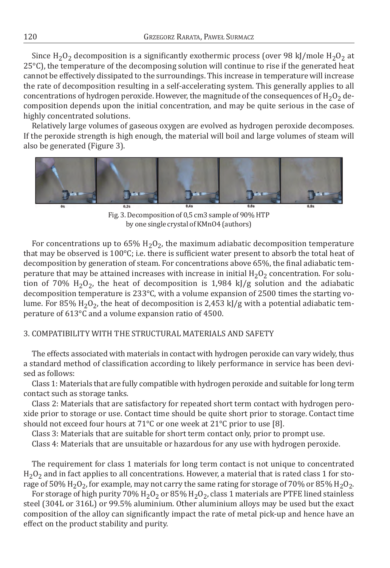Since H<sub>2</sub>O<sub>2</sub> decomposition is a significantly exothermic process (over 98 kJ/mole H<sub>2</sub>O<sub>2</sub> at 25°c), the temperature of the decomposing solution will continue to rise if the generated heat cannot be effectively dissipated to the surroundings. This increase in temperature will increase the rate of decomposition resulting in a self-accelerating system. this generally applies to all concentrations of hydrogen peroxide. However, the magnitude of the consequences of  $H_2O_2$  decomposition depends upon the initial concentration, and may be quite serious in the case of highly concentrated solutions.

Relatively large volumes of gaseous oxygen are evolved as hydrogen peroxide decomposes. If the peroxide strength is high enough, the material will boil and large volumes of steam will also be generated (figure 3).



Fig. 3. Decomposition of 0,5 cm3 sample of 90% HTP by one single crystal of Kmno4 (authors)

For concentrations up to  $65\%$  H<sub>2</sub>O<sub>2</sub>, the maximum adiabatic decomposition temperature that may be observed is 100°c; i.e. there is sufficient water present to absorb the total heat of decomposition by generation of steam. for concentrations above 65%, the final adiabatic temperature that may be attained increases with increase in initial  $H_2O_2$  concentration. For solution of 70%  $H_2O_2$ , the heat of decomposition is 1,984 kJ/g solution and the adiabatic decomposition temperature is 233°c, with a volume expansion of 2500 times the starting volume. For 85% H<sub>2</sub>O<sub>2</sub>, the heat of decomposition is 2,453 kJ/g with a potential adiabatic temperature of 613°c and a volume expansion ratio of 4500.

### 3. comPatIBILIty WItH tHe StructuraL materIaLS aNd Safety

The effects associated with materials in contact with hydrogen peroxide can vary widely, thus a standard method of classification according to likely performance in service has been devised as follows:

class 1: materials that are fully compatible with hydrogen peroxide and suitable for long term contact such as storage tanks.

class 2: materials that are satisfactory for repeated short term contact with hydrogen peroxide prior to storage or use. contact time should be quite short prior to storage. contact time should not exceed four hours at 71°C or one week at 21°C prior to use [8].

class 3: materials that are suitable for short term contact only, prior to prompt use.

class 4: materials that are unsuitable or hazardous for any use with hydrogen peroxide.

the requirement for class 1 materials for long term contact is not unique to concentrated  $H_2O_2$  and in fact applies to all concentrations. However, a material that is rated class 1 for storage of 50% H<sub>2</sub>O<sub>2</sub>, for example, may not carry the same rating for storage of 70% or 85% H<sub>2</sub>O<sub>2</sub>.

For storage of high purity 70%  $H_2O_2$  or 85%  $H_2O_2$ , class 1 materials are PTFE lined stainless steel (304L or 316L) or 99.5% aluminium. other aluminium alloys may be used but the exact composition of the alloy can significantly impact the rate of metal pick-up and hence have an effect on the product stability and purity.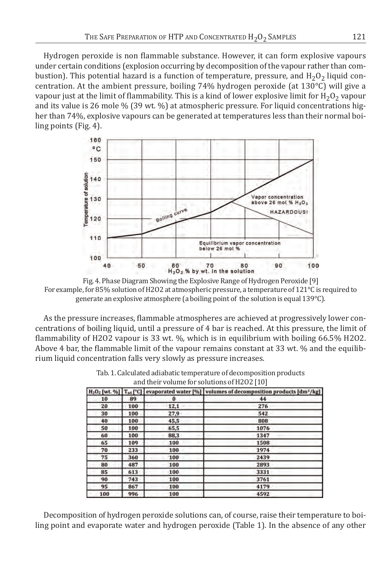Hydrogen peroxide is non flammable substance. However, it can form explosive vapours under certain conditions (explosion occurring by decomposition of the vapour rather than combustion). This potential hazard is a function of temperature, pressure, and  $H_2O_2$  liquid concentration. at the ambient pressure, boiling 74% hydrogen peroxide (at 130°c) will give a vapour just at the limit of flammability. This is a kind of lower explosive limit for  $H_2O_2$  vapour and its value is 26 mole % (39 wt. %) at atmospheric pressure. for liquid concentrations higher than 74%, explosive vapours can be generated at temperatures less than their normal boiling points (fig. 4).



Fig. 4. Phase Diagram Showing the Explosive Range of Hydrogen Peroxide [9] for example, for 85% solution of H2o2 at atmospheric pressure, a temperature of 121°c is required to generate an explosive atmosphere (a boiling point of the solution is equal 139°c).

as the pressure increases, flammable atmospheres are achieved at progressively lower concentrations of boiling liquid, until a pressure of 4 bar is reached. at this pressure, the limit of flammability of H2O2 vapour is 33 wt. %, which is in equilibrium with boiling 66.5% H2O2. above 4 bar, the flammable limit of the vapour remains constant at 33 wt. % and the equilibrium liquid concentration falls very slowly as pressure increases.

|     |     |      | $H_2O_Z$ [wt. %] $T_{ad}$ [°C] evaporated water [%]   volumes of decomposition products [dm <sup>3</sup> /kg] |
|-----|-----|------|---------------------------------------------------------------------------------------------------------------|
| 10  | 89  | 0    | 44                                                                                                            |
| 20  | 100 | 12,1 | 276                                                                                                           |
| 30  | 100 | 27.9 | 542                                                                                                           |
| 40  | 100 | 45.5 | 808                                                                                                           |
| 50  | 100 | 65,5 | 1076                                                                                                          |
| 60  | 100 | 88,3 | 1347                                                                                                          |
| 65  | 109 | 100  | 1508                                                                                                          |
| 70  | 233 | 100  | 1974                                                                                                          |
| 75  | 360 | 100  | 2439                                                                                                          |
| 80  | 487 | 100  | 2893                                                                                                          |
| 85  | 613 | 100  | 3331                                                                                                          |
| 90  | 743 | 100  | 3761                                                                                                          |
| 95  | 867 | 100  | 4179                                                                                                          |
| 100 | 996 | 100  | 4592                                                                                                          |

tab. 1. calculated adiabatic temperature of decomposition products and their volume for solutions of H2o2 [10]

Decomposition of hydrogen peroxide solutions can, of course, raise their temperature to boiling point and evaporate water and hydrogen peroxide (Table 1). In the absence of any other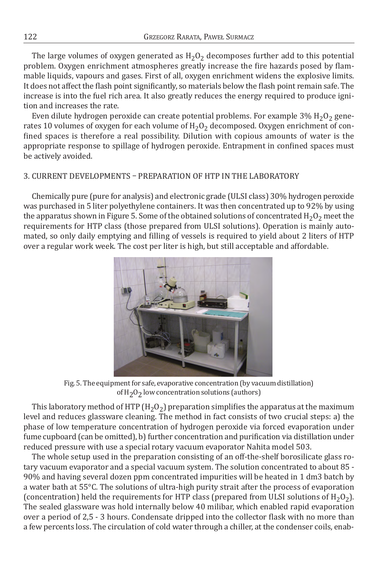The large volumes of oxygen generated as  $H_2O_2$  decomposes further add to this potential problem. oxygen enrichment atmospheres greatly increase the fire hazards posed by flammable liquids, vapours and gases. first of all, oxygen enrichment widens the explosive limits. It does not affect the flash point significantly, so materials below the flash point remain safe. the increase is into the fuel rich area. It also greatly reduces the energy required to produce ignition and increases the rate.

Even dilute hydrogen peroxide can create potential problems. For example  $3\%$  H<sub>2</sub>O<sub>2</sub> generates 10 volumes of oxygen for each volume of  $H_2O_2$  decomposed. Oxygen enrichment of confined spaces is therefore a real possibility. Dilution with copious amounts of water is the appropriate response to spillage of hydrogen peroxide. Entrapment in confined spaces must be actively avoided.

## 3. CURRENT DEVELOPMENTS – PREPARATION OF HTP IN THE LABORATORY

chemically pure (pure for analysis) and electronic grade (uLSI class) 30% hydrogen peroxide was purchased in 5 liter polyethylene containers. It was then concentrated up to 92% by using the apparatus shown in Figure 5. Some of the obtained solutions of concentrated  $H_2O_2$  meet the requirements for HtP class (those prepared from uLSI solutions). operation is mainly automated, so only daily emptying and filling of vessels is required to yield about 2 liters of HTP over a regular work week. the cost per liter is high, but still acceptable and affordable.



fig. 5. the equipment for safe, evaporative concentration (by vacuum distillation) of H<sub>2</sub>O<sub>2</sub> low concentration solutions (authors)

This laboratory method of HTP ( $H_2O_2$ ) preparation simplifies the apparatus at the maximum level and reduces glassware cleaning. The method in fact consists of two crucial steps: a) the phase of low temperature concentration of hydrogen peroxide via forced evaporation under fume cupboard (can be omitted), b) further concentration and purification via distillation under reduced pressure with use a special rotary vacuum evaporator Nahita model 503.

The whole setup used in the preparation consisting of an off-the-shelf borosilicate glass rotary vacuum evaporator and a special vacuum system. The solution concentrated to about 85 -90% and having several dozen ppm concentrated impurities will be heated in 1 dm3 batch by a water bath at 55°C. The solutions of ultra-high purity strait after the process of evaporation (concentration) held the requirements for HTP class (prepared from ULSI solutions of  $H_2O_2$ ). the sealed glassware was hold internally below 40 milibar, which enabled rapid evaporation over a period of 2,5 - 3 hours. condensate dripped into the collector flask with no more than a few percents loss. the circulation of cold water through a chiller, at the condenser coils, enab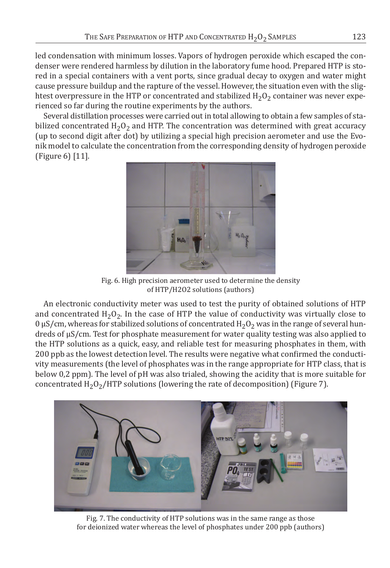led condensation with minimum losses. vapors of hydrogen peroxide which escaped the condenser were rendered harmless by dilution in the laboratory fume hood. Prepared HTP is stored in a special containers with a vent ports, since gradual decay to oxygen and water might cause pressure buildup and the rapture of the vessel. However, the situation even with the slightest overpressure in the HTP or concentrated and stabilized  $H_2O_2$  container was never experienced so far during the routine experiments by the authors.

Several distillation processes were carried out in total allowing to obtain a few samples of stabilized concentrated  $H_2O_2$  and HTP. The concentration was determined with great accuracy (up to second digit after dot) by utilizing a special high precision aerometer and use the Evonik model to calculate the concentration from the corresponding density of hydrogen peroxide (figure 6) [11].



fig. 6. High precision aerometer used to determine the density of HtP/H2o2 solutions (authors)

An electronic conductivity meter was used to test the purity of obtained solutions of HTP and concentrated  $H_2O_2$ . In the case of HTP the value of conductivity was virtually close to  $0 \mu S/cm$ , whereas for stabilized solutions of concentrated  $H_2O_2$  was in the range of several hundreds of μS/cm. test for phosphate measurement for water quality testing was also applied to the HtP solutions as a quick, easy, and reliable test for measuring phosphates in them, with 200 ppb as the lowest detection level. The results were negative what confirmed the conductivity measurements (the level of phosphates was in the range appropriate for HtP class, that is below 0.2 ppm). The level of pH was also trialed, showing the acidity that is more suitable for concentrated  $H_2O_2/HTP$  solutions (lowering the rate of decomposition) (Figure 7).



Fig. 7. The conductivity of HTP solutions was in the same range as those for deionized water whereas the level of phosphates under 200 ppb (authors)